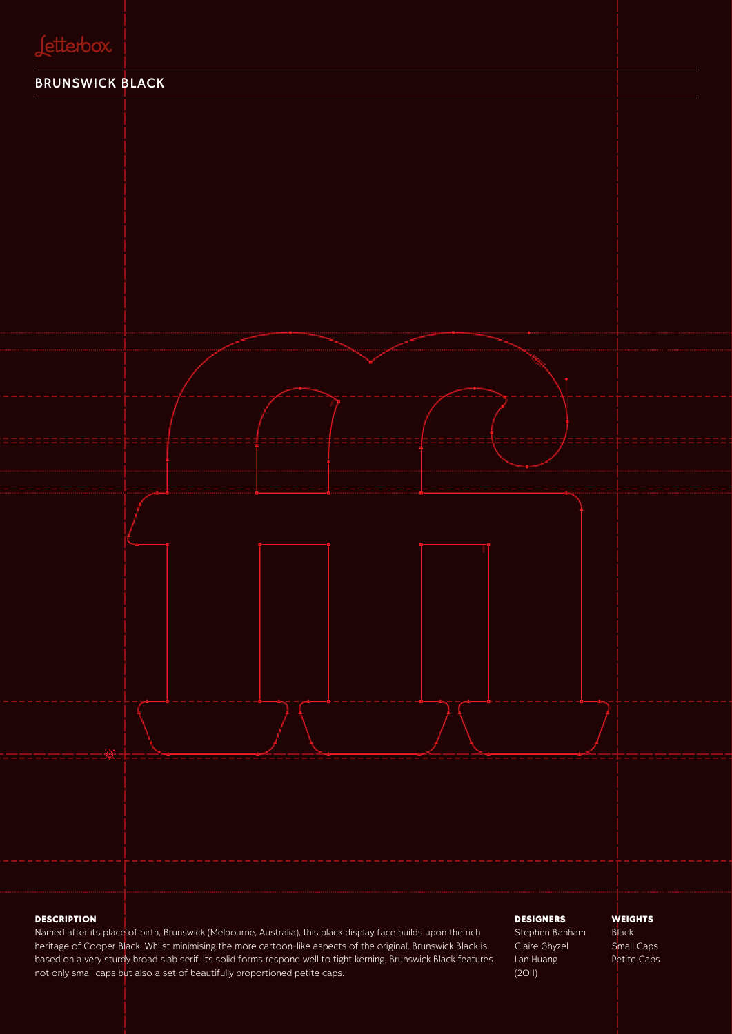

#### **DESCRIPTION**

Named after its place of birth, Brunswick (Melbourne, Australia), this black display face builds upon the rich heritage of Cooper Black. Whilst minimising the more cartoon-like aspects of the original, Brunswick Black is based on a very sturdy broad slab serif. Its solid forms respond well to tight kerning, Brunswick Black features not only small caps but also a set of beautifully proportioned petite caps.

#### **DESIGNERS**

Stephen Banham Claire Ghyzel Lan Huang (2011)

#### **WEIGHTS**

Black Small Caps Petite Caps

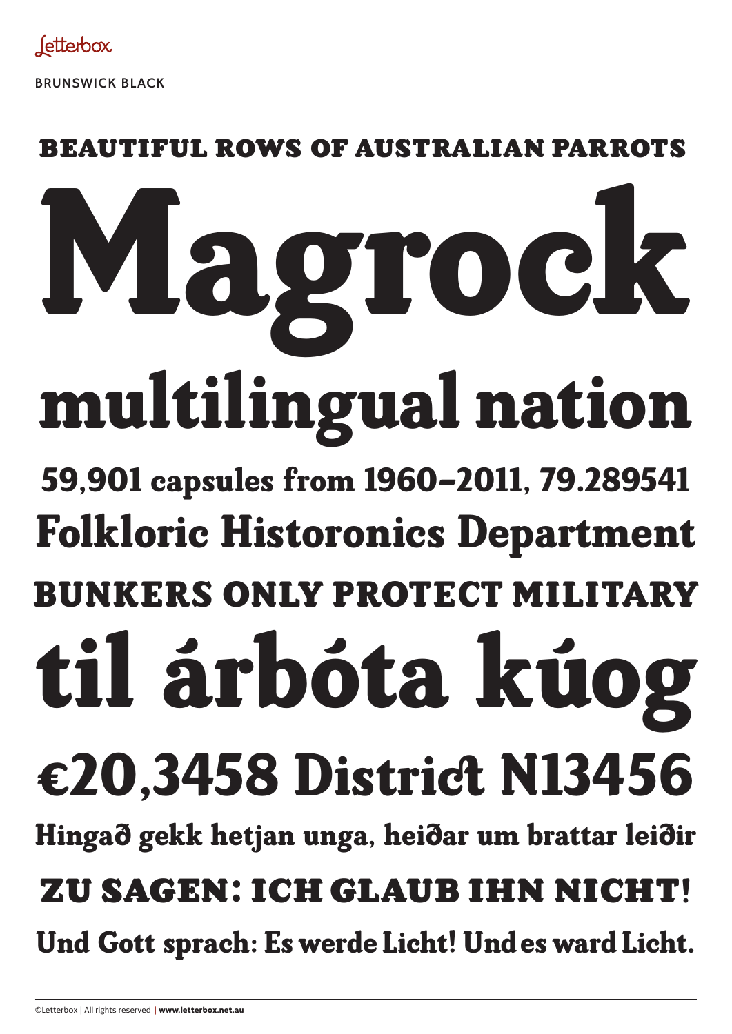

### FUL ROWS OF AUSTRALIAN PAI

# multilingual nation Magrock

## 59,901 capsules from 1960–2011, 79.289541 Folkloric Historonics Department

# BUNKERS ONLY PROTECT MILITARY

# til árbóta kúog

# €20,3458 District N13456

Hingað gekk hetjan unga, heiðar um brattar leiðir

## Zu sagen: ich glaub ihn nicht!

Und Gott sprach: Es werde Licht! Und es ward Licht.